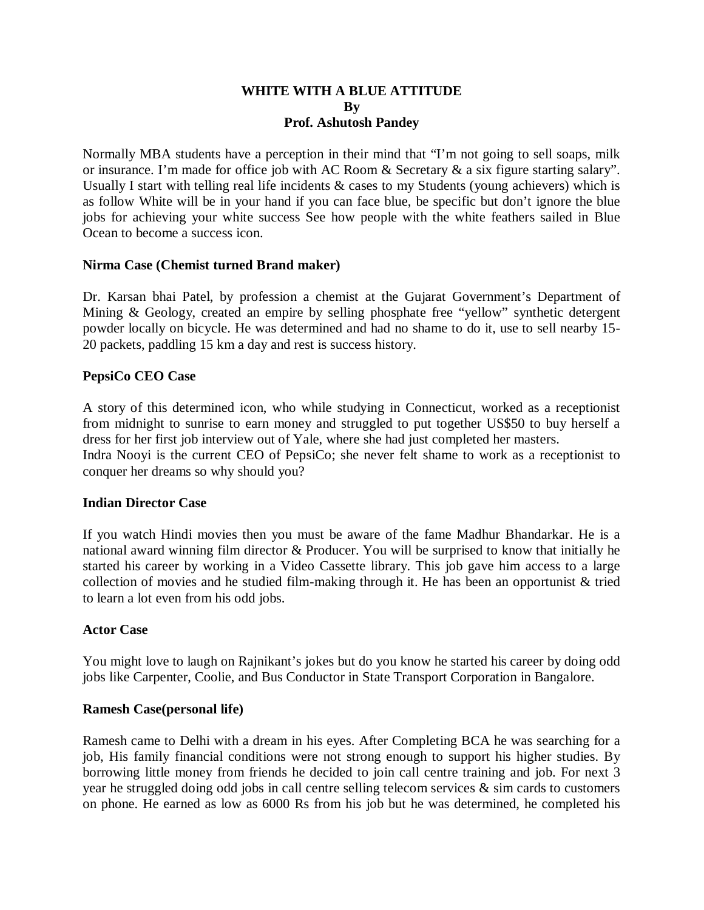# **WHITE WITH A BLUE ATTITUDE By Prof. Ashutosh Pandey**

Normally MBA students have a perception in their mind that "I'm not going to sell soaps, milk or insurance. I'm made for office job with AC Room & Secretary & a six figure starting salary". Usually I start with telling real life incidents & cases to my Students (young achievers) which is as follow White will be in your hand if you can face blue, be specific but don't ignore the blue jobs for achieving your white success See how people with the white feathers sailed in Blue Ocean to become a success icon.

## **Nirma Case (Chemist turned Brand maker)**

Dr. Karsan bhai Patel, by profession a chemist at the Gujarat Government's Department of Mining & Geology, created an empire by selling phosphate free "yellow" synthetic detergent powder locally on bicycle. He was determined and had no shame to do it, use to sell nearby 15- 20 packets, paddling 15 km a day and rest is success history.

## **PepsiCo CEO Case**

A story of this determined icon, who while studying in Connecticut, worked as a receptionist from midnight to sunrise to earn money and struggled to put together US\$50 to buy herself a dress for her first job interview out of Yale, where she had just completed her masters. Indra Nooyi is the current CEO of PepsiCo; she never felt shame to work as a receptionist to conquer her dreams so why should you?

### **Indian Director Case**

If you watch Hindi movies then you must be aware of the fame Madhur Bhandarkar. He is a national award winning film director & Producer. You will be surprised to know that initially he started his career by working in a Video Cassette library. This job gave him access to a large collection of movies and he studied film-making through it. He has been an opportunist  $\&$  tried to learn a lot even from his odd jobs.

### **Actor Case**

You might love to laugh on Rajnikant's jokes but do you know he started his career by doing odd jobs like Carpenter, Coolie, and Bus Conductor in State Transport Corporation in Bangalore.

### **Ramesh Case(personal life)**

Ramesh came to Delhi with a dream in his eyes. After Completing BCA he was searching for a job, His family financial conditions were not strong enough to support his higher studies. By borrowing little money from friends he decided to join call centre training and job. For next 3 year he struggled doing odd jobs in call centre selling telecom services & sim cards to customers on phone. He earned as low as 6000 Rs from his job but he was determined, he completed his